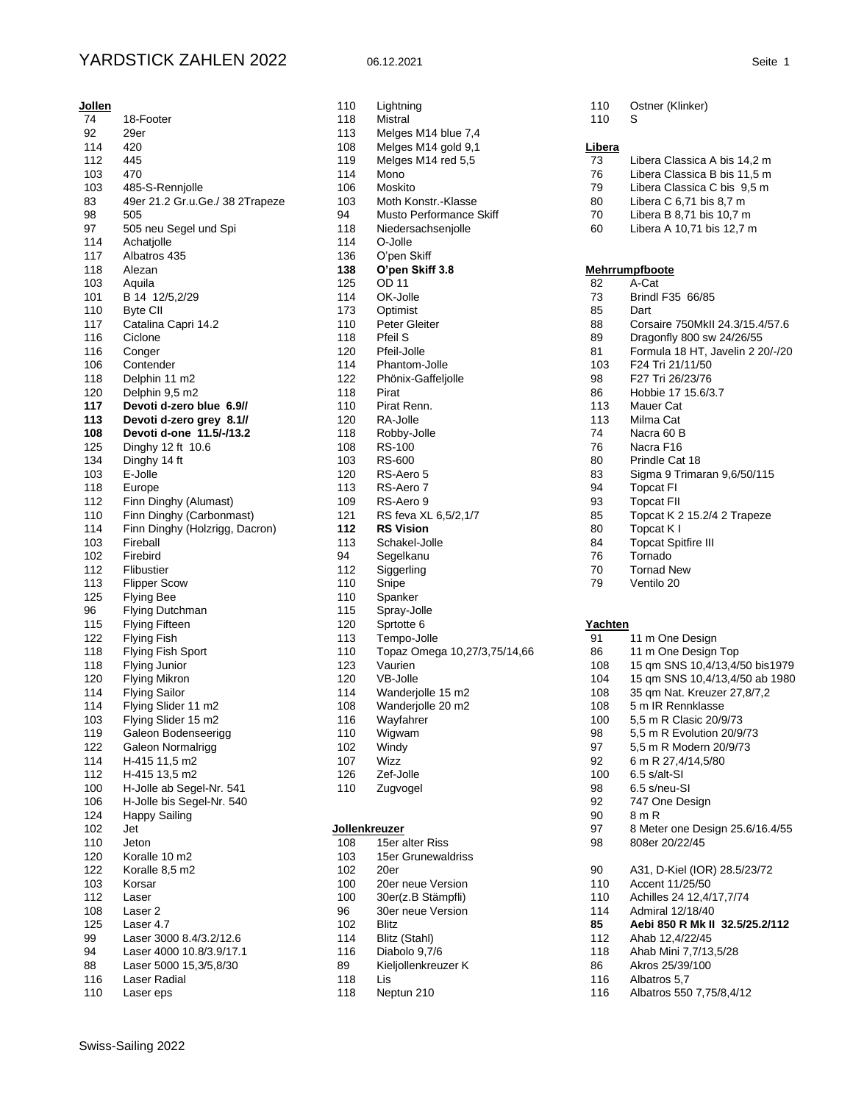## YARDSTICK ZAHLEN 2022 06.12.2021 Seite 1

| <b>Jollen</b> |                                 |
|---------------|---------------------------------|
| 74            | 18-Footer                       |
| 92            | 29er                            |
| 114           | 420                             |
| 112           | 445                             |
| 103           | 470                             |
| 103           | 485-S-Rennjolle                 |
| 83            | 49er 21.2 Gr.u.Ge./ 38 2Trapeze |
| 98            | 505                             |
| 97            | 505 neu Segel und Spi           |
| 114           | Achatjolle                      |
| 117           | Albatros 435                    |
| 118           | Alezan                          |
| 103           | Aquila                          |
| 101           | B 14 12/5,2/29                  |
| 110           | Byte CII                        |
| 117           | Catalina Capri 14.2             |
| 116           | Ciclone                         |
| 116           | Conger                          |
| 106           | Contender                       |
| 118           | Delphin 11 m2                   |
| 120           | Delphin 9,5 m2                  |
| 117           | Devoti d-zero blue 6.9//        |
| 113           | Devoti d-zero grey 8.1//        |
| 108           | Devoti d-one 11.5/-/13.2        |
|               | Dinghy 12 ft 10.6               |
| 125           | Dinghy 14 ft                    |
| 134           | E-Jolle                         |
| 103           |                                 |
| 118           | Europe                          |
| 112           | Finn Dinghy (Alumast)           |
| 110           | Finn Dinghy (Carbonmast)        |
| 114           | Finn Dinghy (Holzrigg, Dacron)  |
| 103           | Fireball                        |
| 102           | Firebird                        |
| 112           | Flibustier                      |
| 113           | <b>Flipper Scow</b>             |
| 125           | <b>Flying Bee</b>               |
| 96            | Flying Dutchman                 |
| 115           | <b>Flying Fifteen</b>           |
| 122           | <b>Flying Fish</b>              |
| 118           | Flying Fish Sport               |
| 118           | Flying Junior                   |
| 120           | <b>Flying Mikron</b>            |
| 114           | <b>Flying Sailor</b>            |
| 114           | Flying Slider 11 m2             |
| 103           | Flying Slider 15 m2             |
| 119           | Galeon Bodenseerigg             |
| 122           | Galeon Normalrigg               |
| 114           | H-415 11,5 m2                   |
| 112           | H-415 13,5 m2                   |
| 100           | H-Jolle ab Segel-Nr. 541        |
| 106           | H-Jolle bis Segel-Nr. 540       |
| 124           | <b>Happy Sailing</b>            |
| 102           | Jet                             |
| 110           | Jeton                           |
| 120           | Koralle 10 m2                   |
| 122           | Koralle 8,5 m2                  |
|               |                                 |
| 103           | Korsar                          |
| 112           | Laser                           |
| 108           | Laser 2                         |
| 125           | Laser 4.7                       |
| 99            | Laser 3000 8.4/3.2/12.6         |
| 94            | Laser 4000 10.8/3.9/17.1        |
| 88            | Laser 5000 15,3/5,8/30          |
| 116           | Laser Radial                    |
| 110           | Laser eps                       |
|               |                                 |

| 110        | Lightning                    |
|------------|------------------------------|
| 118        | Mistral                      |
| 113        | Melges M14 blue 7,4          |
| 108        | Melges M14 gold 9,1          |
| 119        | Melges M14 red 5,5           |
| 114        | Mono                         |
| 106        | Moskito                      |
| 103        | Moth Konstr.-Klasse          |
| 94         | Musto Performance Skiff      |
| 118        | Niedersachsenjolle           |
| 114        | O-Jolle                      |
| 136        | O'pen Skiff                  |
| 138        | O'pen Skiff 3.8              |
| 125        | OD 11                        |
| 114        | OK-Jolle                     |
| 173        | Optimist                     |
| 110        | Peter Gleiter                |
| 118        | Pfeil S                      |
| 120        | Pfeil-Jolle                  |
| 114        | Phantom-Jolle                |
| 122        | Phönix-Gaffeljolle           |
| 118        | Pirat                        |
| 110        | Pirat Renn.                  |
| 120        | RA-Jolle                     |
| 118        | Robby-Jolle                  |
| 108        | RS-100                       |
| 103        | RS-600                       |
| 120        | RS-Aero 5<br>RS-Aero 7       |
| 113<br>109 | RS-Aero 9                    |
| 121        | RS feva XL 6,5/2,1/7         |
| 112        | <b>RS Vision</b>             |
| 113        | Schakel-Jolle                |
| 94         | Segelkanu                    |
| 112        | Siggerling                   |
| 110        | Snipe                        |
| 110        | Spanker                      |
| 115        | Spray-Jolle                  |
| 120        | Sprtotte 6                   |
| 113        | Tempo-Jolle                  |
| 110        | Topaz Omega 10,27/3,75/14,66 |
| 123        | Vaurien                      |
| 120        | VB-Jolle                     |
| 114        | Wanderjolle 15 m2            |
| 108        | Wanderjolle 20 m2            |
| 116        | Wayfahrer                    |
| 110        | Wigwam                       |
| 102        | Windy                        |
| 107        | Wizz                         |
| 126        | Zef-Jolle                    |
| 110        | Zugvogel                     |
|            |                              |
|            |                              |
|            | <u>Jollenkreuzer</u>         |

| 108 | 15er alter Riss     |
|-----|---------------------|
| 103 | 15er Grunewaldriss  |
| 102 | 20er                |
| 100 | 20er neue Version   |
| 100 | 30er(z.B Stämpfli)  |
| 96  | 30er neue Version   |
| 102 | <b>Blitz</b>        |
| 114 | Blitz (Stahl)       |
| 116 | Diabolo 9,7/6       |
| 89  | Kieljollenkreuzer K |
| 118 | l is                |
| 118 | Neptun 210          |
|     |                     |

|  | 110 Ostner (Klinker) |
|--|----------------------|

|  |     | × |  |
|--|-----|---|--|
|  | 110 |   |  |

## **Libera**

| 73 | Libera Classica A bis 14,2 m |  |  |  |  |
|----|------------------------------|--|--|--|--|
|    |                              |  |  |  |  |

- Libera Classica B bis 11,5 m
- 79 Libera Classica C bis 9,5 m<br>80 Libera C 6,71 bis 8,7 m
- 80 Libera C 6,71 bis 8,7 m<br>70 Libera B 8,71 bis 10,7 m
- Libera B 8,71 bis 10,7 m Libera A 10,71 bis 12,7 m

## **Mehrrumpfboote**

| 82            | A-Cat                            |
|---------------|----------------------------------|
| 73            | Brindl F35 66/85                 |
| 85            | Dart                             |
| 88            | Corsaire 750MkII 24.3/15.4/57.6  |
| 89            | Dragonfly 800 sw 24/26/55        |
| 81            | Formula 18 HT, Javelin 2 20/-/20 |
| 103           | F24 Tri 21/11/50                 |
| 98            | F27 Tri 26/23/76                 |
| 86            | Hobbie 17 15.6/3.7               |
| 113           | Mauer Cat                        |
| 113           | Milma Cat                        |
| 74            | Nacra 60 B                       |
| 76            | Nacra F16                        |
| 80            | Prindle Cat 18                   |
| 83            | Sigma 9 Trimaran 9,6/50/115      |
| 94            | <b>Topcat FI</b>                 |
| 93            | <b>Topcat FII</b>                |
| 85            | Topcat K 2 15.2/4 2 Trapeze      |
| 80            | Topcat K I                       |
| 84            | <b>Topcat Spitfire III</b>       |
| 76            | Tornado                          |
| 70            | <b>Tornad New</b>                |
| 79            | Ventilo 20                       |
| Yachten<br>91 | 11 m One Design                  |
| 86            | 11 m One Design Top              |
| 108           | 15 qm SNS 10,4/13,4/50 bis1979   |
| 104           | 15 qm SNS 10,4/13,4/50 ab 1980   |
| 108           | 35 qm Nat. Kreuzer 27,8/7,2      |
| 108           | 5 m IR Rennklasse                |
| 100           | 5,5 m R Clasic 20/9/73           |
| 98            | 5,5 m R Evolution 20/9/73        |
| 97            | 5,5 m R Modern 20/9/73           |
| 92            | 6 m R 27,4/14,5/80               |
| 100           | 6.5 s/alt-SI                     |
| 98            | 6.5 s/neu-SI                     |
| 92            | 747 One Design                   |
| 90            | 8 m R                            |
| 97            | 8 Meter one Design 25.6/16.4/55  |
| 98            | 808er 20/22/45                   |
| 90            | A31, D-Kiel (IOR) 28.5/23/72     |
| 110           | Accent 11/25/50                  |
| 110           | Achilles 24 12,4/17,7/74         |
| 114           | Admiral 12/18/40                 |
| 85            | Aebi 850 R Mk II 32.5/25.2/112   |
| 112           | Ahab 12,4/22/45                  |
| 118           | Ahab Mini 7,7/13,5/28            |
| 86            | Akros 25/39/100                  |
| 116           | Albatros 5,7                     |
| 116           | Albatros 550 7,75/8,4/12         |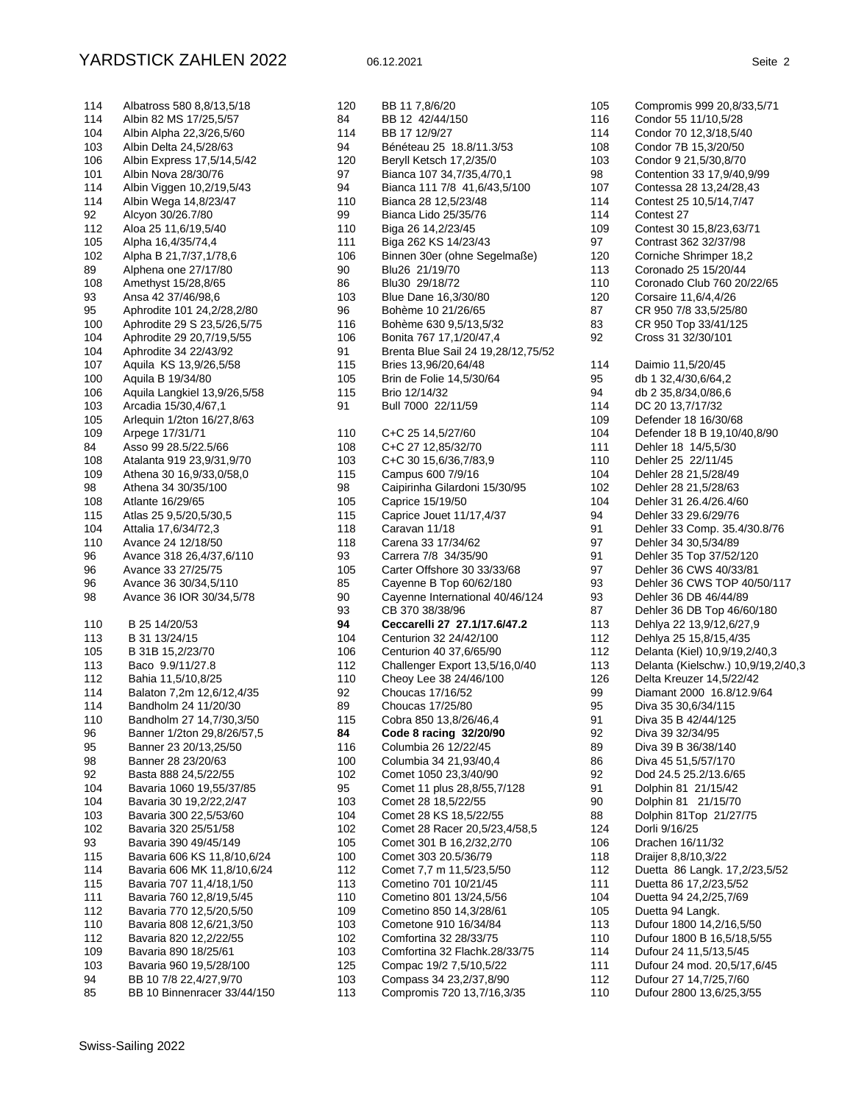| 114 | Albatross 580 8,8/13,5/18                              |
|-----|--------------------------------------------------------|
| 114 | Albin 82 MS 17/25,5/57                                 |
| 104 | Albin Alpha 22,3/26,5/60                               |
| 103 | Albin Delta 24,5/28/63                                 |
| 106 | Albin Express 17,5/14,5/42                             |
| 101 | Albin Nova 28/30/76                                    |
| 114 | Albin Viggen 10,2/19,5/43                              |
| 114 | Albin Wega 14,8/23/47                                  |
| 92  | Alcyon 30/26.7/80                                      |
| 112 | Aloa 25 11,6/19,5/40                                   |
| 105 | Alpha 16,4/35/74,4                                     |
| 102 | Alpha B 21,7/37,1/78,6                                 |
| 89  | Alphena one 27/17/80                                   |
| 108 | Amethyst 15/28,8/65                                    |
| 93  | Ansa 42 37/46/98,6                                     |
| 95  | Aphrodite 101 24, 2/28, 2/80                           |
| 100 | Aphrodite 29 S 23,5/26,5/75                            |
| 104 | Aphrodite 29 20, 7/19, 5/55                            |
| 104 | Aphrodite 34 22/43/92                                  |
| 107 | Aquila KS 13,9/26,5/58                                 |
| 100 | Aquila B 19/34/80                                      |
| 106 | Aquila Langkiel 13,9/26,5/58                           |
| 103 | Arcadia 15/30,4/67,1                                   |
| 105 | Arlequin 1/2ton 16/27,8/63                             |
| 109 | Arpege 17/31/71                                        |
| 84  | Asso 99 28.5/22.5/66                                   |
| 108 | Atalanta 919 23,9/31,9/70                              |
| 109 | Athena 30 16,9/33,0/58,0                               |
| 98  | Athena 34 30/35/100                                    |
| 108 | Atlante 16/29/65                                       |
| 115 | Atlas 25 9,5/20,5/30,5                                 |
| 104 | Attalia 17,6/34/72,3                                   |
| 110 | Avance 24 12/18/50                                     |
| 96  | Avance 318 26,4/37,6/110                               |
| 96  | Avance 33 27/25/75                                     |
| 96  | Avance 36 30/34,5/110                                  |
| 98  | Avance 36 IOR 30/34,5/78                               |
|     |                                                        |
| 110 | B 25 14/20/53                                          |
| 113 | B 31 13/24/15                                          |
| 105 | B 31B 15,2/23/70                                       |
| 113 | Baco 9.9/11/27.8                                       |
| 112 | Bahia 11,5/10,8/25                                     |
| 114 | Balaton 7,2m 12,6/12,4/35                              |
| 114 | Bandholm 24 11/20/30                                   |
| 110 |                                                        |
| 96  | Bandholm 27 14,7/30,3/50<br>Banner 1/2ton 29,8/26/57,5 |
| 95  | Banner 23 20/13,25/50                                  |
| 98  | Banner 28 23/20/63                                     |
| 92  | Basta 888 24,5/22/55                                   |
| 104 |                                                        |
|     | Bavaria 1060 19,55/37/85                               |
| 104 | Bavaria 30 19,2/22,2/47                                |
| 103 | Bavaria 300 22,5/53/60                                 |
| 102 | Bavaria 320 25/51/58                                   |
| 93  | Bavaria 390 49/45/149                                  |
| 115 | Bavaria 606 KS 11,8/10,6/24                            |
| 114 | Bavaria 606 MK 11,8/10,6/24                            |
| 115 | Bavaria 707 11,4/18,1/50                               |
| 111 | Bavaria 760 12,8/19,5/45                               |
| 112 | Bavaria 770 12,5/20,5/50                               |
| 110 | Bavaria 808 12,6/21,3/50                               |
| 112 | Bavaria 820 12,2/22/55                                 |
| 109 | Bavaria 890 18/25/61                                   |
| 103 | Bavaria 960 19,5/28/100                                |
| 94  | BB 10 7/8 22,4/27,9/70                                 |
| 85  | BB 10 Binnenracer 33/44/150                            |

| 120 | BB 11 7,8/6/20                     |
|-----|------------------------------------|
| 84  | BB 12 42/44/150                    |
| 114 | BB 17 12/9/27                      |
| 94  | Bénéteau 25 18.8/11.3/53           |
| 120 | Beryll Ketsch 17,2/35/0            |
| 97  | Bianca 107 34,7/35,4/70,1          |
| 94  | Bianca 111 7/8 41, 6/43, 5/100     |
| 110 | Bianca 28 12,5/23/48               |
| 99  | Bianca Lido 25/35/76               |
| 110 | Biga 26 14, 2/23/45                |
| 111 | Biga 262 KS 14/23/43               |
| 106 | Binnen 30er (ohne Segelmaße)       |
| 90  | Blu26 21/19/70                     |
| 86  | Blu30 29/18/72                     |
| 103 | Blue Dane 16,3/30/80               |
| 96  | Bohème 10 21/26/65                 |
| 116 | Bohème 630 9,5/13,5/32             |
| 106 | Bonita 767 17, 1/20/47, 4          |
| 91  | Brenta Blue Sail 24 19,28/12,75/52 |
| 115 | Bries 13,96/20,64/48               |
| 105 | Brin de Folie 14,5/30/64           |
| 115 | Brio 12/14/32                      |
| 91  | Bull 7000 22/11/59                 |
| 110 | C+C 25 14,5/27/60                  |
| 108 | C+C 27 12,85/32/70                 |
| 103 | C+C 30 15,6/36,7/83,9              |
| 115 | Campus 600 7/9/16                  |
| 98  | Caipirinha Gilardoni 15/30/95      |
| 105 | Caprice 15/19/50                   |
| 115 | Caprice Jouet 11/17,4/37           |
| 118 | Caravan 11/18                      |
| 118 | Carena 33 17/34/62                 |
| 93  | Carrera 7/8 34/35/90               |
| 105 | Carter Offshore 30 33/33/68        |
| 85  | Cayenne B Top 60/62/180            |
| 90  | Cayenne International 40/46/124    |
| 93  | CB 370 38/38/96                    |
| 94  | Ceccarelli 27 27.1/17.6/47.2       |
| 104 | Centurion 32 24/42/100             |
| 106 | Centurion 40 37,6/65/90            |
| 112 | Challenger Export 13,5/16,0/40     |
| 110 | Cheoy Lee 38 24/46/100             |
| 92  | Choucas 17/16/52                   |
| 89  | Choucas 17/25/80                   |
| 115 | Cobra 850 13,8/26/46,4             |
| 84  | Code 8 racing 32/20/90             |
| 116 | Columbia 26 12/22/45               |
| 100 | Columbia 34 21,93/40,4             |
| 102 | Comet 1050 23,3/40/90              |
| 95  | Comet 11 plus 28,8/55,7/128        |
| 103 | Comet 28 18,5/22/55                |
| 104 | Comet 28 KS 18,5/22/55             |
| 102 | Comet 28 Racer 20,5/23,4/58,5      |
| 105 | Comet 301 B 16,2/32,2/70           |
| 100 | Comet 303 20.5/36/79               |
| 112 | Comet 7,7 m 11,5/23,5/50           |
| 113 | Cometino 701 10/21/45              |
| 110 | Cometino 801 13/24,5/56            |
| 109 | Cometino 850 14,3/28/61            |
| 103 | Cometone 910 16/34/84              |
| 102 | Comfortina 32 28/33/75             |
| 103 | Comfortina 32 Flachk.28/33/75      |
| 125 | Compac 19/2 7,5/10,5/22            |
| 103 | Compass 34 23, 2/37, 8/90          |
| 113 | Compromis 720 13,7/16,3/35         |

Condor 7B 15.3/20/50 Condor 9 21.5/30.8/70 Contention 33 17.9/40.9/99 Contessa 28 13.24/28.43 Contest 25 10,5/14,7/47 Contest 27 Contest 30 15.8/23.63/71 Contrast 362 32/37/98 Corniche Shrimper 18,2 Coronado 25 15/20/44 Coronado Club 760 20/22/65 Corsaire 11,6/4,4/26 CR 950 7/8 33,5/25/80 CR 950 Top 33/41/125 Cross 31 32/30/101 Daimio 11.5/20/45 db 1 32,4/30,6/64,2 db 2 35,8/34,0/86,6 DC 20 13.7/17/32 Defender 18 16/30/68 Defender 18 B 19,10/40,8/90 Dehler 18 14/5,5/30 Dehler 25 22/11/45 Dehler 28 21,5/28/49 Dehler 28 21,5/28/63 Dehler 31 26.4/26.4/60 Dehler 33 29.6/29/76 Dehler 33 Comp. 35.4/30.8/76 Dehler 34 30,5/34/89 Dehler 35 Top 37/52/120 Dehler 36 CWS 40/33/81 Dehler 36 CWS TOP 40/50/117 Dehler 36 DB 46/44/89 Dehler 36 DB Top 46/60/180 Dehlya 22 13,9/12,6/27,9 Dehlya 25 15,8/15,4/35 Delanta (Kiel) 10,9/19,2/40,3 Delanta (Kielschw.) 10,9/19,2/40,3 Delta Kreuzer 14,5/22/42 Diamant 2000 16.8/12.9/64 Diva 35 30.6/34/115 Diva 35 B 42/44/125 Diva 39 32/34/95 Diva 39 B 36/38/140 Diva 45 51,5/57/170 Dod 24.5 25.2/13.6/65 Dolphin 81 21/15/42 Dolphin 81 21/15/70 Dolphin 81Top 21/27/75 Dorli 9/16/25 Drachen 16/11/32 Draijer 8,8/10,3/22 Duetta 86 Langk. 17,2/23,5/52 Duetta 86 17,2/23,5/52 Duetta 94 24.2/25.7/69 Duetta 94 Langk.

Compromis 999 20,8/33,5/71

Condor 55 11/10.5/28 Condor 70 12.3/18.5/40

105

116

114 108

 $103$ 

98

107

114

114 109

97

 $120$ 

113

110

 $120$ 87

83

92

114

95

94

 $114$ 

109 104

111

110 104

 $102$ 

104

94

91

97

91

97

**Q3** 

93 87

113

112

112

113

126

99 95

91

92

89

86

92

91

90

88

124

106 118

112

111 104

105

113 110

114

111 112

110

Dufour 1800 14,2/16,5/50

Dufour 24 11,5/13,5/45 Dufour 24 mod. 20,5/17,6/45

Dufour 27 14,7/25,7/60

Dufour 2800 13,6/25,3/55

Dufour 1800 B 16.5/18.5/55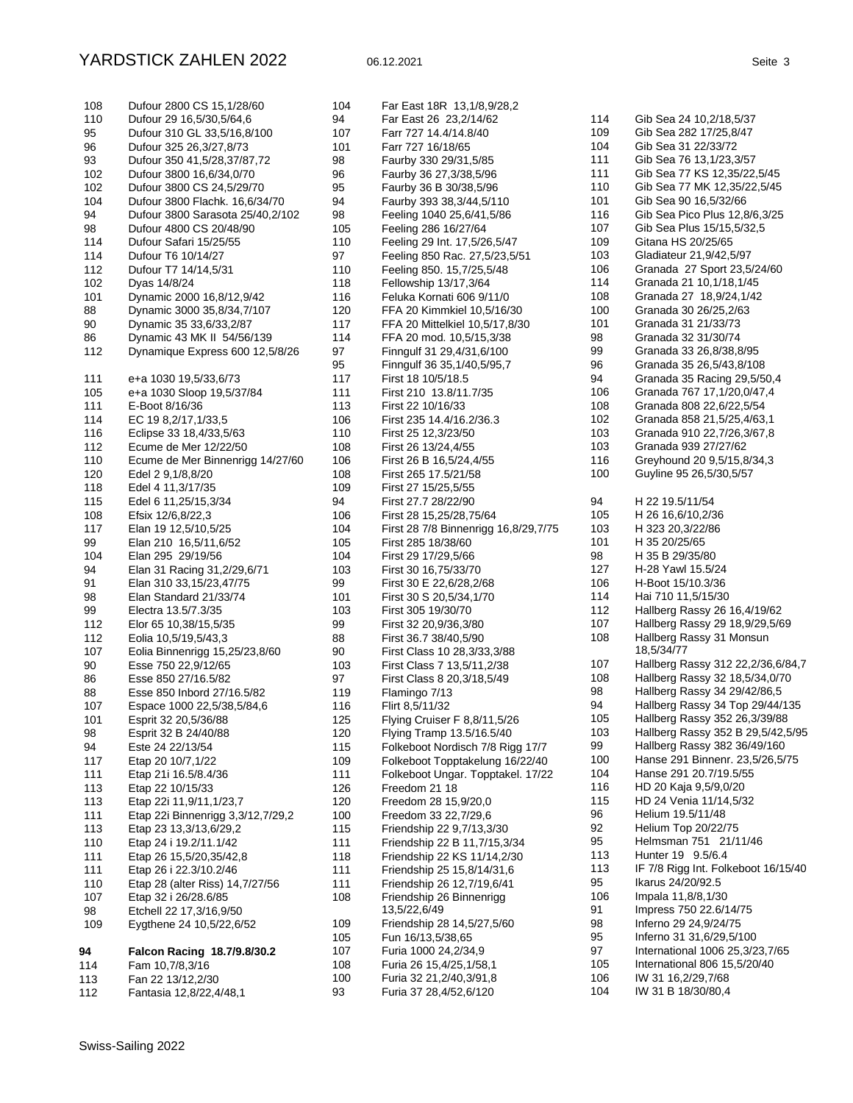| 108 | Dufour 2800 CS 15,1/28/60         |
|-----|-----------------------------------|
| 110 | Dufour 29 16,5/30,5/64,6          |
| 95  | Dufour 310 GL 33,5/16,8/100       |
| 96  | Dufour 325 26,3/27,8/73           |
| 93  | Dufour 350 41,5/28,37/87,72       |
| 102 | Dufour 3800 16,6/34,0/70          |
| 102 | Dufour 3800 CS 24,5/29/70         |
| 104 | Dufour 3800 Flachk. 16,6/34/70    |
| 94  | Dufour 3800 Sarasota 25/40,2/102  |
| 98  | Dufour 4800 CS 20/48/90           |
| 114 | Dufour Safari 15/25/55            |
| 114 | Dufour T6 10/14/27                |
| 112 | Dufour T7 14/14,5/31              |
| 102 | Dyas 14/8/24                      |
| 101 | Dynamic 2000 16,8/12,9/42         |
| 88  | Dynamic 3000 35,8/34,7/107        |
| 90  | Dynamic 35 33,6/33,2/87           |
| 86  | Dynamic 43 MK II 54/56/139        |
| 112 | Dynamique Express 600 12,5/8/26   |
| 111 | e+a 1030 19,5/33,6/73             |
| 105 | e+a 1030 Sloop 19,5/37/84         |
| 111 | E-Boot 8/16/36                    |
| 114 | EC 19 8, 2/17, 1/33, 5            |
| 116 | Eclipse 33 18,4/33,5/63           |
| 112 | Ecume de Mer 12/22/50             |
| 110 | Ecume de Mer Binnenrigg 14/27/60  |
| 120 | Edel 2 9,1/8,8/20                 |
| 118 | Edel 4 11,3/17/35                 |
| 115 | Edel 6 11,25/15,3/34              |
| 108 | Efsix 12/6,8/22,3                 |
| 117 | Elan 19 12,5/10,5/25              |
| 99  | Elan 210 16,5/11,6/52             |
| 104 | Elan 295 29/19/56                 |
| 94  | Elan 31 Racing 31, 2/29, 6/71     |
| 91  | Elan 310 33,15/23,47/75           |
| 98  | Elan Standard 21/33/74            |
| 99  | Electra 13.5/7.3/35               |
| 112 | Elor 65 10,38/15,5/35             |
| 112 | Eolia 10,5/19,5/43,3              |
| 107 | Eolia Binnenrigg 15,25/23,8/60    |
| 90  | Esse 750 22,9/12/65               |
| 86  | Esse 850 27/16.5/82               |
| 88  | Esse 850 Inbord 27/16.5/82        |
| 107 | Espace 1000 22,5/38,5/84,6        |
| 101 | Esprit 32 20,5/36/88              |
| 98  | Esprit 32 B 24/40/88              |
| 94  | Este 24 22/13/54                  |
| 117 | Etap 20 10/7, 1/22                |
| 111 | Etap 21i 16.5/8.4/36              |
| 113 | Etap 22 10/15/33                  |
| 113 | Etap 22i 11,9/11,1/23,7           |
| 111 | Etap 22i Binnenrigg 3,3/12,7/29,2 |
| 113 | Etap 23 13,3/13,6/29,2            |
| 110 | Etap 24 i 19.2/11.1/42            |
| 111 | Etap 26 15,5/20,35/42,8           |
| 111 | Etap 26 i 22.3/10.2/46            |
| 110 | Etap 28 (alter Riss) 14,7/27/56   |
| 107 | Etap 32 i 26/28.6/85              |
| 98  | Etchell 22 17,3/16,9/50           |
| 109 | Eygthene 24 10,5/22,6/52          |
| 94  | Falcon Racing 18.7/9.8/30.2       |
| 114 | Fam 10,7/8,3/16                   |
| 113 | Fan 22 13/12,2/30                 |
| 112 | Fantasia 12,8/22,4/48,1           |

| 104        | Far East 18R 13,1/8,9/28,2                                   |
|------------|--------------------------------------------------------------|
| 94         | Far East 26 23, 2/14/62                                      |
| 107        | Farr 727 14.4/14.8/40                                        |
| 101        | Farr 727 16/18/65                                            |
| 98         | Faurby 330 29/31,5/85                                        |
| 96         | Faurby 36 27,3/38,5/96                                       |
| 95         | Faurby 36 B 30/38,5/96                                       |
| 94         | Faurby 393 38,3/44,5/110                                     |
| 98         | Feeling 1040 25,6/41,5/86                                    |
| 105        | Feeling 286 16/27/64                                         |
| 110        | Feeling 29 Int. 17,5/26,5/47                                 |
| 97         | Feeling 850 Rac. 27,5/23,5/51                                |
| 110        | Feeling 850. 15,7/25,5/48                                    |
| 118        | Fellowship 13/17,3/64                                        |
| 116        | Feluka Kornati 606 9/11/0                                    |
| 120<br>117 | FFA 20 Kimmkiel 10,5/16/30<br>FFA 20 Mittelkiel 10,5/17,8/30 |
| 114        | FFA 20 mod. 10,5/15,3/38                                     |
| 97         | Finngulf 31 29,4/31,6/100                                    |
| 95         | Finngulf 36 35, 1/40, 5/95, 7                                |
| 117        | First 18 10/5/18.5                                           |
| 111        | First 210 13.8/11.7/35                                       |
| 113        | First 22 10/16/33                                            |
| 106        | First 235 14.4/16.2/36.3                                     |
| 110        | First 25 12,3/23/50                                          |
| 108        | First 26 13/24,4/55                                          |
| 106        | First 26 B 16,5/24,4/55                                      |
| 108        | First 265 17.5/21/58                                         |
| 109        | First 27 15/25,5/55                                          |
| 94         | First 27.7 28/22/90                                          |
| 106        | First 28 15,25/28,75/64                                      |
| 104        | First 28 7/8 Binnenrigg 16,8/29,7/75                         |
| 105        | First 285 18/38/60                                           |
| 104        | First 29 17/29,5/66                                          |
| 103        | First 30 16,75/33/70                                         |
| 99         | First 30 E 22,6/28,2/68                                      |
| 101        | First 30 S 20,5/34,1/70                                      |
| 103        | First 305 19/30/70                                           |
| 99         | First 32 20,9/36,3/80                                        |
| 88         | First 36.7 38/40,5/90                                        |
| 90         | First Class 10 28, 3/33, 3/88                                |
| 103<br>97  | First Class 7 13,5/11,2/38<br>First Class 8 20,3/18,5/49     |
| 119        | Flamingo 7/13                                                |
| 116        | Flirt 8,5/11/32                                              |
| 125        | Flying Cruiser F 8,8/11,5/26                                 |
| 120        | Flying Tramp 13.5/16.5/40                                    |
| 115        | Folkeboot Nordisch 7/8 Rigg 17/7                             |
| 109        | Folkeboot Topptakelung 16/22/40                              |
| 111        | Folkeboot Ungar. Topptakel. 17/22                            |
| 126        | Freedom 21 18                                                |
| 120        | Freedom 28 15,9/20,0                                         |
| 100        | Freedom 33 22,7/29,6                                         |
| 115        | Friendship 22 9,7/13,3/30                                    |
| 111        | Friendship 22 B 11,7/15,3/34                                 |
| 118        | Friendship 22 KS 11/14,2/30                                  |
| 111        | Friendship 25 15,8/14/31,6                                   |
| 111        | Friendship 26 12,7/19,6/41                                   |
| 108        | Friendship 26 Binnenrigg                                     |
|            | 13,5/22,6/49                                                 |
| 109        | Friendship 28 14,5/27,5/60                                   |
| 105        | Fun 16/13,5/38,65                                            |
| 107        | Furia 1000 24, 2/34, 9                                       |
| 108        | Furia 26 15,4/25,1/58,1                                      |
| 100        | Furia 32 21, 2/40, 3/91, 8                                   |
| 93         | Furia 37 28,4/52,6/120                                       |

|     | Gib Sea 24 10, 2/18, 5/37            |
|-----|--------------------------------------|
| 114 |                                      |
| 109 | Gib Sea 282 17/25,8/47               |
| 104 | Gib Sea 31 22/33/72                  |
| 111 | Gib Sea 76 13, 1/23, 3/57            |
| 111 | Gib Sea 77 KS 12,35/22,5/45          |
| 110 | Gib Sea 77 MK 12,35/22,5/45          |
| 101 | Gib Sea 90 16,5/32/66                |
|     |                                      |
| 116 | Gib Sea Pico Plus 12,8/6,3/25        |
| 107 | Gib Sea Plus 15/15,5/32,5            |
| 109 | Gitana HS 20/25/65                   |
| 103 | Gladiateur 21,9/42,5/97              |
| 106 | Granada 27 Sport 23,5/24/60          |
| 114 | Granada 21 10,1/18,1/45              |
| 108 | Granada 27 18,9/24,1/42              |
| 100 | Granada 30 26/25,2/63                |
| 101 | Granada 31 21/33/73                  |
|     |                                      |
| 98  | Granada 32 31/30/74                  |
| 99  | Granada 33 26,8/38,8/95              |
| 96  | Granada 35 26,5/43,8/108             |
| 94  | Granada 35 Racing 29,5/50,4          |
| 106 | Granada 767 17,1/20,0/47,4           |
| 108 | Granada 808 22,6/22,5/54             |
| 102 | Granada 858 21,5/25,4/63,1           |
| 103 | Granada 910 22,7/26,3/67,8           |
|     | Granada 939 27/27/62                 |
| 103 |                                      |
| 116 | Greyhound 20 9,5/15,8/34,3           |
| 100 | Guyline 95 26,5/30,5/57              |
| 94  | H 22 19.5/11/54                      |
|     |                                      |
| 105 | H 26 16,6/10,2/36                    |
| 103 | H 323 20, 3/22/86                    |
| 101 | H 35 20/25/65                        |
| 98  | H 35 B 29/35/80                      |
| 127 | H-28 Yawl 15.5/24                    |
| 106 | H-Boot 15/10.3/36                    |
| 114 | Hai 710 11,5/15/30                   |
| 112 | Hallberg Rassy 26 16,4/19/62         |
| 107 | Hallberg Rassy 29 18,9/29,5/69       |
| 108 | Hallberg Rassy 31 Monsun             |
|     | 18,5/34/77                           |
| 107 | Hallberg Rassy 312 22, 2/36, 6/84, 7 |
|     |                                      |
| 108 | Hallberg Rassy 32 18,5/34,0/70       |
| 98  | Hallberg Rassy 34 29/42/86,5         |
| 94  | Hallberg Rassy 34 Top 29/44/135      |
| 105 | Hallberg Rassy 352 26,3/39/88        |
| 103 | Hallberg Rassy 352 B 29,5/42,5/95    |
| 99  | Hallberg Rassy 382 36/49/160         |
| 100 | Hanse 291 Binnenr. 23,5/26,5/75      |
| 104 | Hanse 291 20.7/19.5/55               |
| 116 | HD 20 Kaja 9,5/9,0/20                |
| 115 |                                      |
|     | HD 24 Venia 11/14,5/32               |
| 96  | Helium 19.5/11/48                    |
| 92  | Helium Top 20/22/75                  |
| 95  | Helmsman 751 21/11/46                |
| 113 | Hunter 19<br>9.5/6.4                 |
| 113 | IF 7/8 Rigg Int. Folkeboot 16/15/40  |
| 95  | Ikarus 24/20/92.5                    |
| 106 | Impala 11,8/8,1/30                   |
| 91  | Impress 750 22.6/14/75               |
|     |                                      |
| 98  | Inferno 29 24,9/24/75                |
| 95  | Inferno 31 31,6/29,5/100             |
| 97  | International 1006 25,3/23,7/65      |
| 105 | International 806 15,5/20/40         |
| 106 | IW 31 16,2/29,7/68                   |
| 104 | IW 31 B 18/30/80,4                   |
|     |                                      |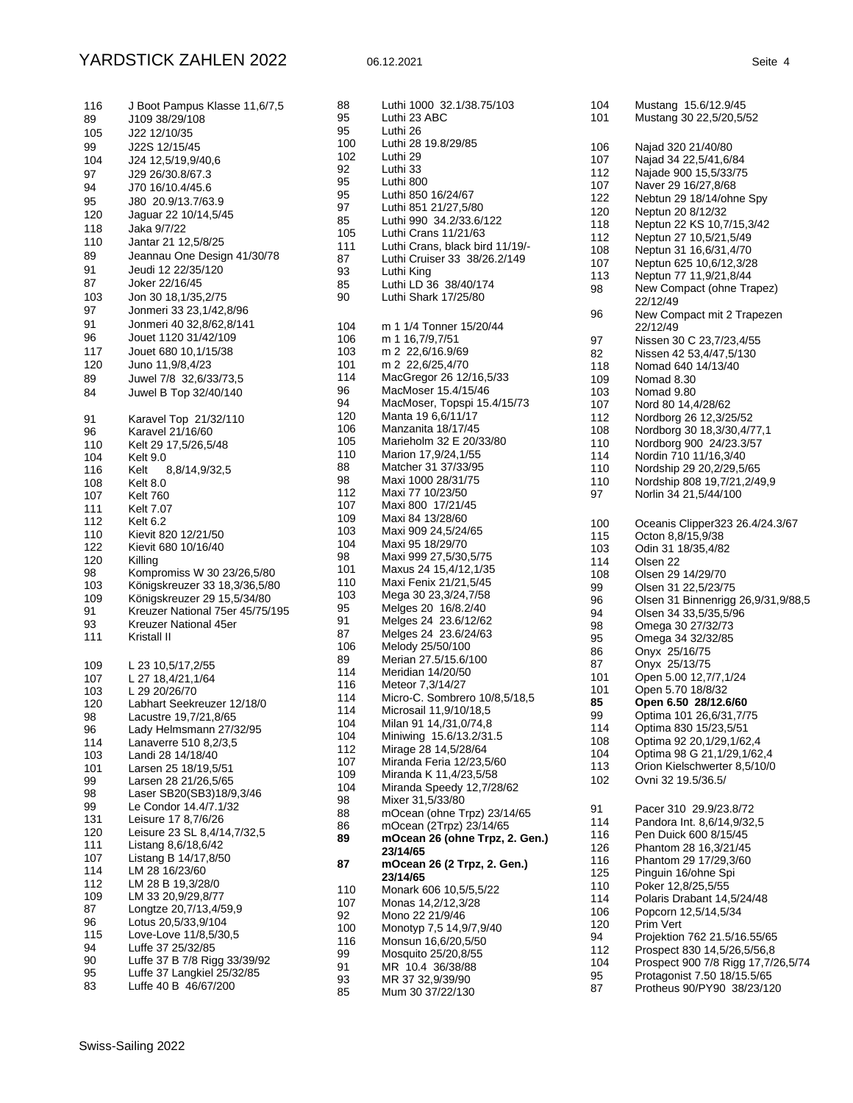## YARDSTICK ZAHLEN 2022 06.12.2021 Seite 4

| 116                                                                                                                   | J Boot Pampus Klasse 11,6/7,5                                                                                                                                                                                                                                                                                                                                                                    |
|-----------------------------------------------------------------------------------------------------------------------|--------------------------------------------------------------------------------------------------------------------------------------------------------------------------------------------------------------------------------------------------------------------------------------------------------------------------------------------------------------------------------------------------|
| 89                                                                                                                    | J109 38/29/108                                                                                                                                                                                                                                                                                                                                                                                   |
| 105                                                                                                                   | J22 12/10/35                                                                                                                                                                                                                                                                                                                                                                                     |
| 99                                                                                                                    | J22S 12/15/45                                                                                                                                                                                                                                                                                                                                                                                    |
| 104                                                                                                                   | J24 12,5/19,9/40,6                                                                                                                                                                                                                                                                                                                                                                               |
| 97                                                                                                                    | J29 26/30.8/67.3                                                                                                                                                                                                                                                                                                                                                                                 |
| 94                                                                                                                    | J70 16/10.4/45.6                                                                                                                                                                                                                                                                                                                                                                                 |
| 95                                                                                                                    | J80 20.9/13.7/63.9                                                                                                                                                                                                                                                                                                                                                                               |
| 120                                                                                                                   | Jaguar 22 10/14,5/45                                                                                                                                                                                                                                                                                                                                                                             |
| 118                                                                                                                   | Jaka 9/7/22                                                                                                                                                                                                                                                                                                                                                                                      |
| 110                                                                                                                   | Jantar 21 12,5/8/25                                                                                                                                                                                                                                                                                                                                                                              |
| 89                                                                                                                    | Jeannau One Design 41/30/78                                                                                                                                                                                                                                                                                                                                                                      |
| 91                                                                                                                    | Jeudi 12 22/35/120                                                                                                                                                                                                                                                                                                                                                                               |
| 87                                                                                                                    | Joker 22/16/45                                                                                                                                                                                                                                                                                                                                                                                   |
| 103                                                                                                                   | Jon 30 18, 1/35, 2/75                                                                                                                                                                                                                                                                                                                                                                            |
| 97                                                                                                                    | Jonmeri 33 23,1/42,8/96                                                                                                                                                                                                                                                                                                                                                                          |
| 91                                                                                                                    | Jonmeri 40 32,8/62,8/141                                                                                                                                                                                                                                                                                                                                                                         |
| 96                                                                                                                    | Jouet 1120 31/42/109                                                                                                                                                                                                                                                                                                                                                                             |
| 117                                                                                                                   | Jouet 680 10, 1/15/38                                                                                                                                                                                                                                                                                                                                                                            |
| 120                                                                                                                   | Juno 11,9/8,4/23                                                                                                                                                                                                                                                                                                                                                                                 |
| 89                                                                                                                    | Juwel 7/8 32,6/33/73,5                                                                                                                                                                                                                                                                                                                                                                           |
| 84                                                                                                                    | Juwel B Top 32/40/140                                                                                                                                                                                                                                                                                                                                                                            |
| 91<br>96<br>110<br>104<br>116<br>108<br>107<br>111<br>112<br>110<br>122<br>120<br>98<br>103<br>109<br>91<br>93<br>111 | Karavel Top 21/32/110<br>Karavel 21/16/60<br>Kelt 29 17,5/26,5/48<br>Kelt 9.0<br>Kelt<br>8,8/14,9/32,5<br>Kelt 8.0<br><b>Kelt 760</b><br>Kelt 7.07<br>Kelt 6.2<br>Kievit 820 12/21/50<br>Kievit 680 10/16/40<br>Killing<br>Kompromiss W 30 23/26,5/80<br>Königskreuzer 33 18,3/36,5/80<br>Königskreuzer 29 15,5/34/80<br>Kreuzer National 75er 45/75/195<br>Kreuzer National 45er<br>Kristall II |
| 109                                                                                                                   | L 23 10,5/17,2/55                                                                                                                                                                                                                                                                                                                                                                                |
| 107                                                                                                                   | L 27 18,4/21,1/64                                                                                                                                                                                                                                                                                                                                                                                |
| 103                                                                                                                   | L 29 20/26/70                                                                                                                                                                                                                                                                                                                                                                                    |
| 120                                                                                                                   | Labhart Seekreuzer 12/18/0                                                                                                                                                                                                                                                                                                                                                                       |
| 98                                                                                                                    | Lacustre 19,7/21,8/65                                                                                                                                                                                                                                                                                                                                                                            |
| 96                                                                                                                    | Lady Helmsmann 27/32/95                                                                                                                                                                                                                                                                                                                                                                          |
| 114                                                                                                                   | Lanaverre 510 8,2/3,5                                                                                                                                                                                                                                                                                                                                                                            |
| 103                                                                                                                   | Landi 28 14/18/40                                                                                                                                                                                                                                                                                                                                                                                |
| 101                                                                                                                   | Larsen 25 18/19,5/51                                                                                                                                                                                                                                                                                                                                                                             |
| 99                                                                                                                    | Larsen 28 21/26,5/65                                                                                                                                                                                                                                                                                                                                                                             |
| 98                                                                                                                    | Laser SB20(SB3)18/9,3/46                                                                                                                                                                                                                                                                                                                                                                         |
| 99                                                                                                                    | Le Condor 14.4/7.1/32                                                                                                                                                                                                                                                                                                                                                                            |
| 131                                                                                                                   | Leisure 17 8,7/6/26                                                                                                                                                                                                                                                                                                                                                                              |
| 120                                                                                                                   | Leisure 23 SL 8,4/14,7/32,5                                                                                                                                                                                                                                                                                                                                                                      |
| 111                                                                                                                   | Listang 8,6/18,6/42                                                                                                                                                                                                                                                                                                                                                                              |
| 107                                                                                                                   | Listang B 14/17,8/50                                                                                                                                                                                                                                                                                                                                                                             |
| 114                                                                                                                   | LM 28 16/23/60                                                                                                                                                                                                                                                                                                                                                                                   |
| 112                                                                                                                   | LM 28 B 19,3/28/0                                                                                                                                                                                                                                                                                                                                                                                |
| 109                                                                                                                   | LM 33 20,9/29,8/77                                                                                                                                                                                                                                                                                                                                                                               |
| 87                                                                                                                    | Longtze 20,7/13,4/59,9                                                                                                                                                                                                                                                                                                                                                                           |
| 96                                                                                                                    | Lotus 20,5/33,9/104                                                                                                                                                                                                                                                                                                                                                                              |
| 115                                                                                                                   | Love-Love 11/8,5/30,5                                                                                                                                                                                                                                                                                                                                                                            |
| 94                                                                                                                    | Luffe 37 25/32/85                                                                                                                                                                                                                                                                                                                                                                                |
| 90                                                                                                                    | Luffe 37 B 7/8 Rigg 33/39/92                                                                                                                                                                                                                                                                                                                                                                     |
| 95                                                                                                                    | Luffe 37 Langkiel 25/32/85                                                                                                                                                                                                                                                                                                                                                                       |
| 83                                                                                                                    | Luffe 40 B 46/67/200                                                                                                                                                                                                                                                                                                                                                                             |

| 88                                                     | Luthi 1000 32.1/38.75/103                                                                                                                                                                                        |
|--------------------------------------------------------|------------------------------------------------------------------------------------------------------------------------------------------------------------------------------------------------------------------|
| 95                                                     | Luthi 23 ABC                                                                                                                                                                                                     |
| 95                                                     | Luthi 26                                                                                                                                                                                                         |
| 100                                                    | Luthi 28 19.8/29/85                                                                                                                                                                                              |
| 102                                                    | Luthi 29                                                                                                                                                                                                         |
| 92                                                     | Luthi 33                                                                                                                                                                                                         |
| 95                                                     | Luthi 800                                                                                                                                                                                                        |
| 95                                                     | Luthi 850 16/24/67                                                                                                                                                                                               |
| 97                                                     | Luthi 851 21/27,5/80                                                                                                                                                                                             |
| 85                                                     | Luthi 990 34.2/33.6/122                                                                                                                                                                                          |
| 105                                                    | Luthi Crans 11/21/63                                                                                                                                                                                             |
| 111                                                    | Luthi Crans, black bird 11/19/-                                                                                                                                                                                  |
| 87                                                     | Luthi Cruiser 33 38/26.2/149                                                                                                                                                                                     |
| 93                                                     | Luthi King                                                                                                                                                                                                       |
| 85                                                     | Luthi LD 36 38/40/174                                                                                                                                                                                            |
| 90                                                     | Luthi Shark 17/25/80                                                                                                                                                                                             |
| 104                                                    | m 1 1/4 Tonner 15/20/44                                                                                                                                                                                          |
| 106                                                    | m 1 16,7/9,7/51                                                                                                                                                                                                  |
| 103                                                    | m 2 22,6/16.9/69                                                                                                                                                                                                 |
| 101                                                    | m 2 22,6/25,4/70                                                                                                                                                                                                 |
| 114                                                    | MacGregor 26 12/16,5/33                                                                                                                                                                                          |
| 96                                                     | MacMoser 15.4/15/46                                                                                                                                                                                              |
| 94                                                     | MacMoser, Topspi 15.4/15/73                                                                                                                                                                                      |
| 120                                                    | Manta 19 6,6/11/17                                                                                                                                                                                               |
| 106                                                    | Manzanita 18/17/45                                                                                                                                                                                               |
| 105                                                    | Marieholm 32 E 20/33/80                                                                                                                                                                                          |
| 110                                                    | Marion 17,9/24,1/55                                                                                                                                                                                              |
| 88                                                     | Matcher 31 37/33/95                                                                                                                                                                                              |
| 98                                                     | Maxi 1000 28/31/75                                                                                                                                                                                               |
| 112                                                    | Maxi 77 10/23/50                                                                                                                                                                                                 |
| 107                                                    | Maxi 800 17/21/45                                                                                                                                                                                                |
| 109                                                    | Maxi 84 13/28/60                                                                                                                                                                                                 |
| 103                                                    | Maxi 909 24,5/24/65                                                                                                                                                                                              |
| 104                                                    | Maxi 95 18/29/70                                                                                                                                                                                                 |
| 98                                                     | Maxi 999 27,5/30,5/75                                                                                                                                                                                            |
| 101                                                    | Maxus 24 15,4/12,1/35                                                                                                                                                                                            |
| 110                                                    | Maxi Fenix 21/21,5/45                                                                                                                                                                                            |
| 103                                                    | Mega 30 23,3/24,7/58                                                                                                                                                                                             |
| 95                                                     | Melges 20 16/8.2/40                                                                                                                                                                                              |
| 91                                                     | Melges 24 23.6/12/62                                                                                                                                                                                             |
| 87                                                     | Melges 24 23.6/24/63                                                                                                                                                                                             |
| 106                                                    | Melody 25/50/100                                                                                                                                                                                                 |
| 89                                                     | Merian 27.5/15.6/100                                                                                                                                                                                             |
| 114                                                    | Meridian 14/20/50                                                                                                                                                                                                |
| 116                                                    | Meteor 7,3/14/27                                                                                                                                                                                                 |
| 114                                                    | Micro-C. Sombrero 10/8,5/18,5                                                                                                                                                                                    |
| 114                                                    | Microsail 11,9/10/18,5                                                                                                                                                                                           |
| 104                                                    | Milan 91 14,/31,0/74,8                                                                                                                                                                                           |
| 104                                                    | Miniwing 15.6/13.2/31.5                                                                                                                                                                                          |
| 112                                                    | Mirage 28 14,5/28/64                                                                                                                                                                                             |
| 107                                                    | Miranda Feria 12/23,5/60                                                                                                                                                                                         |
| 109                                                    | Miranda K 11,4/23,5/58                                                                                                                                                                                           |
| 104                                                    | Miranda Speedy 12,7/28/62                                                                                                                                                                                        |
| 98                                                     | Mixer 31,5/33/80                                                                                                                                                                                                 |
| 88                                                     | mOcean (ohne Trpz) 23/14/65                                                                                                                                                                                      |
| 86                                                     | mOcean (2Trpz) 23/14/65                                                                                                                                                                                          |
| 89                                                     | mOcean 26 (ohne Trpz, 2. Gen.)                                                                                                                                                                                   |
| 87                                                     | 23/14/65<br>mOcean 26 (2 Trpz, 2. Gen.)                                                                                                                                                                          |
| 110<br>107<br>92<br>100<br>116<br>99<br>91<br>93<br>85 | 23/14/65<br>Monark 606 10,5/5,5/22<br>Monas 14,2/12,3/28<br>Mono 22 21/9/46<br>Monotyp 7,5 14,9/7,9/40<br>Monsun 16,6/20,5/50<br>Mosquito 25/20,8/55<br>MR 10.4 36/38/88<br>MR 37 32,9/39/90<br>Mum 30 37/22/130 |

| 104                                                                                                                                                                           | Mustang 15.6/12.9/45                                                                                                                                                                                                                                                                                                                                                                                                                                                                                                                                                                                                                                                                                   |
|-------------------------------------------------------------------------------------------------------------------------------------------------------------------------------|--------------------------------------------------------------------------------------------------------------------------------------------------------------------------------------------------------------------------------------------------------------------------------------------------------------------------------------------------------------------------------------------------------------------------------------------------------------------------------------------------------------------------------------------------------------------------------------------------------------------------------------------------------------------------------------------------------|
| 101                                                                                                                                                                           | Mustang 30 22,5/20,5/52                                                                                                                                                                                                                                                                                                                                                                                                                                                                                                                                                                                                                                                                                |
| 106<br>107<br>112<br>107<br>122<br>120<br>118<br>112<br>108<br>107<br>113<br>98<br>96<br>97<br>82<br>118<br>109<br>103<br>107<br>112<br>108<br>110<br>114<br>110<br>110<br>97 | Najad 320 21/40/80<br>Najad 34 22,5/41,6/84<br>Najade 900 15,5/33/75<br>Naver 29 16/27,8/68<br>Nebtun 29 18/14/ohne Spy<br>Neptun 20 8/12/32<br>Neptun 22 KS 10,7/15,3/42<br>Neptun 27 10,5/21,5/49<br>Neptun 31 16,6/31,4/70<br>Neptun 625 10,6/12,3/28<br>Neptun 77 11,9/21,8/44<br>New Compact (ohne Trapez)<br>22/12/49<br>New Compact mit 2 Trapezen<br>22/12/49<br>Nissen 30 C 23,7/23,4/55<br>Nissen 42 53,4/47,5/130<br>Nomad 640 14/13/40<br>Nomad 8.30<br>Nomad 9.80<br>Nord 80 14,4/28/62<br>Nordborg 26 12,3/25/52<br>Nordborg 30 18,3/30,4/77,1<br>Nordborg 900 24/23.3/57<br>Nordin 710 11/16,3/40<br>Nordship 29 20, 2/29, 5/65<br>Nordship 808 19,7/21,2/49,9<br>Norlin 34 21,5/44/100 |
| 100                                                                                                                                                                           | Oceanis Clipper323 26.4/24.3/67                                                                                                                                                                                                                                                                                                                                                                                                                                                                                                                                                                                                                                                                        |
| 115                                                                                                                                                                           | Octon 8,8/15,9/38                                                                                                                                                                                                                                                                                                                                                                                                                                                                                                                                                                                                                                                                                      |
| 103                                                                                                                                                                           | Odin 31 18/35,4/82                                                                                                                                                                                                                                                                                                                                                                                                                                                                                                                                                                                                                                                                                     |
| 114                                                                                                                                                                           | Olsen 22                                                                                                                                                                                                                                                                                                                                                                                                                                                                                                                                                                                                                                                                                               |
| 108                                                                                                                                                                           | Olsen 29 14/29/70                                                                                                                                                                                                                                                                                                                                                                                                                                                                                                                                                                                                                                                                                      |
| 99                                                                                                                                                                            | Olsen 31 22,5/23/75                                                                                                                                                                                                                                                                                                                                                                                                                                                                                                                                                                                                                                                                                    |
| 96                                                                                                                                                                            | Olsen 31 Binnenrigg 26,9/31,9/88,5                                                                                                                                                                                                                                                                                                                                                                                                                                                                                                                                                                                                                                                                     |
| 94                                                                                                                                                                            | Olsen 34 33,5/35,5/96                                                                                                                                                                                                                                                                                                                                                                                                                                                                                                                                                                                                                                                                                  |
| 98                                                                                                                                                                            | Omega 30 27/32/73                                                                                                                                                                                                                                                                                                                                                                                                                                                                                                                                                                                                                                                                                      |
| 95                                                                                                                                                                            | Omega 34 32/32/85                                                                                                                                                                                                                                                                                                                                                                                                                                                                                                                                                                                                                                                                                      |
| 86                                                                                                                                                                            | Onyx 25/16/75                                                                                                                                                                                                                                                                                                                                                                                                                                                                                                                                                                                                                                                                                          |
| 87                                                                                                                                                                            | Onyx 25/13/75                                                                                                                                                                                                                                                                                                                                                                                                                                                                                                                                                                                                                                                                                          |
| 101                                                                                                                                                                           | Open 5.00 12,7/7,1/24                                                                                                                                                                                                                                                                                                                                                                                                                                                                                                                                                                                                                                                                                  |
| 101                                                                                                                                                                           | Open 5.70 18/8/32                                                                                                                                                                                                                                                                                                                                                                                                                                                                                                                                                                                                                                                                                      |
| 85                                                                                                                                                                            | Open 6.50 28/12.6/60                                                                                                                                                                                                                                                                                                                                                                                                                                                                                                                                                                                                                                                                                   |
| 99                                                                                                                                                                            | Optima 101 26,6/31,7/75                                                                                                                                                                                                                                                                                                                                                                                                                                                                                                                                                                                                                                                                                |
| 114                                                                                                                                                                           | Optima 830 15/23,5/51                                                                                                                                                                                                                                                                                                                                                                                                                                                                                                                                                                                                                                                                                  |
| 108                                                                                                                                                                           | Optima 92 20, 1/29, 1/62, 4                                                                                                                                                                                                                                                                                                                                                                                                                                                                                                                                                                                                                                                                            |
| 104                                                                                                                                                                           | Optima 98 G 21, 1/29, 1/62, 4                                                                                                                                                                                                                                                                                                                                                                                                                                                                                                                                                                                                                                                                          |
| 113                                                                                                                                                                           | Orion Kielschwerter 8,5/10/0                                                                                                                                                                                                                                                                                                                                                                                                                                                                                                                                                                                                                                                                           |
| 102                                                                                                                                                                           | Ovni 32 19.5/36.5/                                                                                                                                                                                                                                                                                                                                                                                                                                                                                                                                                                                                                                                                                     |
| 91                                                                                                                                                                            | Pacer 310 29.9/23.8/72                                                                                                                                                                                                                                                                                                                                                                                                                                                                                                                                                                                                                                                                                 |
| 114                                                                                                                                                                           | Pandora Int. 8,6/14,9/32,5                                                                                                                                                                                                                                                                                                                                                                                                                                                                                                                                                                                                                                                                             |
| 116                                                                                                                                                                           | Pen Duick 600 8/15/45                                                                                                                                                                                                                                                                                                                                                                                                                                                                                                                                                                                                                                                                                  |
| 126                                                                                                                                                                           | Phantom 28 16,3/21/45                                                                                                                                                                                                                                                                                                                                                                                                                                                                                                                                                                                                                                                                                  |
| 116                                                                                                                                                                           | Phantom 29 17/29,3/60                                                                                                                                                                                                                                                                                                                                                                                                                                                                                                                                                                                                                                                                                  |
| 125                                                                                                                                                                           | Pinguin 16/ohne Spi                                                                                                                                                                                                                                                                                                                                                                                                                                                                                                                                                                                                                                                                                    |
| 110                                                                                                                                                                           | Poker 12,8/25,5/55                                                                                                                                                                                                                                                                                                                                                                                                                                                                                                                                                                                                                                                                                     |
| 114                                                                                                                                                                           | Polaris Drabant 14,5/24/48                                                                                                                                                                                                                                                                                                                                                                                                                                                                                                                                                                                                                                                                             |
| 106                                                                                                                                                                           | Popcorn 12,5/14,5/34                                                                                                                                                                                                                                                                                                                                                                                                                                                                                                                                                                                                                                                                                   |
| 120                                                                                                                                                                           | Prim Vert                                                                                                                                                                                                                                                                                                                                                                                                                                                                                                                                                                                                                                                                                              |
| 94                                                                                                                                                                            | Projektion 762 21.5/16.55/65                                                                                                                                                                                                                                                                                                                                                                                                                                                                                                                                                                                                                                                                           |
| 112                                                                                                                                                                           | Prospect 830 14,5/26,5/56,8                                                                                                                                                                                                                                                                                                                                                                                                                                                                                                                                                                                                                                                                            |
| 104                                                                                                                                                                           | Prospect 900 7/8 Rigg 17,7/26,5/74                                                                                                                                                                                                                                                                                                                                                                                                                                                                                                                                                                                                                                                                     |
| 95                                                                                                                                                                            | Protagonist 7.50 18/15.5/65                                                                                                                                                                                                                                                                                                                                                                                                                                                                                                                                                                                                                                                                            |

Protheus 90/PY90 38/23/120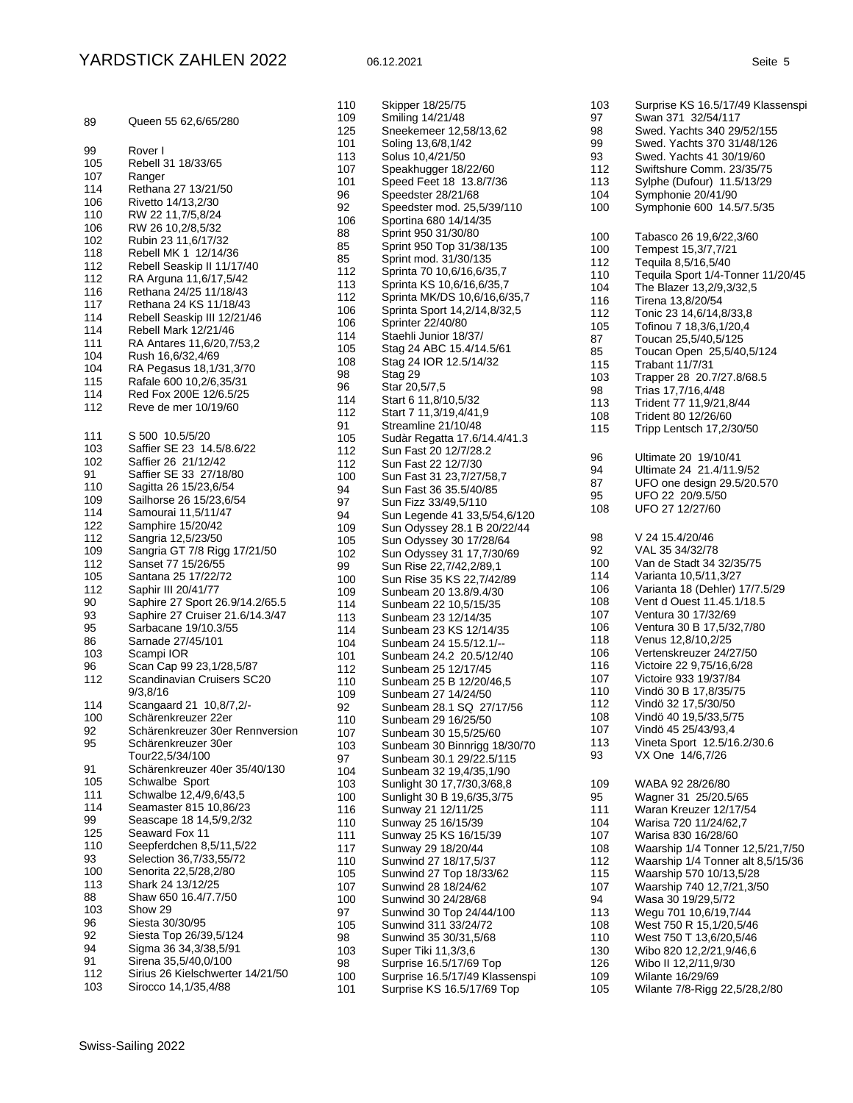| 89                                                                                                                                                           | Queen 55 62,6/65/280                                                                                                                                                                                                                                                                                                                                                                                                                                                                                                                                                                                                                       |
|--------------------------------------------------------------------------------------------------------------------------------------------------------------|--------------------------------------------------------------------------------------------------------------------------------------------------------------------------------------------------------------------------------------------------------------------------------------------------------------------------------------------------------------------------------------------------------------------------------------------------------------------------------------------------------------------------------------------------------------------------------------------------------------------------------------------|
| 99<br>105<br>107<br>114<br>106<br>110<br>106<br>102<br>118<br>112<br>112<br>116<br>117<br>114<br>114<br>111<br>104<br>104<br>115<br>114<br>112               | Rover I<br>Rebell 31 18/33/65<br>Ranger<br>Rethana 27 13/21/50<br>Rivetto 14/13,2/30<br>RW 22 11,7/5,8/24<br>RW 26 10,2/8,5/32<br>Rubin 23 11,6/17/32<br>Rebell MK 1 12/14/36<br>Rebell Seaskip II 11/17/40<br>RA Arguna 11,6/17,5/42<br>Rethana 24/25 11/18/43<br>Rethana 24 KS 11/18/43<br>Rebell Seaskip III 12/21/46<br>Rebell Mark 12/21/46<br>RA Antares 11,6/20,7/53,2<br>Rush 16,6/32,4/69<br>RA Pegasus 18,1/31,3/70<br>Rafale 600 10,2/6,35/31<br>Red Fox 200E 12/6.5/25<br>Reve de mer 10/19/60                                                                                                                                 |
| 111<br>103<br>102<br>91<br>110<br>109<br>114<br>122<br>112<br>109<br>112<br>105<br>112<br>90<br>93<br>95<br>86<br>103<br>96<br>112<br>114<br>100<br>92<br>95 | S 500 10.5/5/20<br>Saffier SE 23 14.5/8.6/22<br>Saffier 26 21/12/42<br>Saffier SE 33 27/18/80<br>Sagitta 26 15/23,6/54<br>Sailhorse 26 15/23,6/54<br>Samourai 11,5/11/47<br>Samphire 15/20/42<br>Sangria 12,5/23/50<br>Sangria GT 7/8 Rigg 17/21/50<br>Sanset 77 15/26/55<br>Santana 25 17/22/72<br>Saphir III 20/41/77<br>Saphire 27 Sport 26.9/14.2/65.5<br>Saphire 27 Cruiser 21.6/14.3/47<br>Sarbacane 19/10.3/55<br>Sarnade 27/45/101<br>Scampi IOR<br>Scan Cap 99 23,1/28,5/87<br>Scandinavian Cruisers SC20<br>9/3,8/16<br>Scangaard 21 10,8/7,2/-<br>Schärenkreuzer 22er<br>Schärenkreuzer 30er Rennversion<br>Scharenkreuzer 30er |
| 91<br>105<br>111<br>114<br>99<br>125<br>110<br>93<br>100<br>113<br>88<br>103<br>96<br>92<br>94<br>91<br>112<br>103                                           | Tour22,5/34/100<br>Schärenkreuzer 40er 35/40/130<br>Schwalbe Sport<br>Schwalbe 12,4/9,6/43,5<br>Seamaster 815 10,86/23<br>Seascape 18 14,5/9,2/32<br>Seaward Fox 11<br>Seepferdchen 8,5/11,5/22<br>Selection 36,7/33,55/72<br>Senorita 22,5/28,2/80<br>Shark 24 13/12/25<br>Shaw 650 16.4/7.7/50<br>Show 29<br>Siesta 30/30/95<br>Siesta Top 26/39,5/124<br>Sigma 36 34,3/38,5/91<br>Sirena 35,5/40,0/100<br>Sirius 26 Kielschwerter 14/21/50<br>Sirocco 14,1/35,4/88                                                                                                                                                                      |

| 110        | Skipper 18/25/75                                      |
|------------|-------------------------------------------------------|
| 109        | Smiling 14/21/48                                      |
| 125        | Sneekemeer 12,58/13,62                                |
| 101        | Soling 13,6/8,1/42                                    |
| 113        | Solus 10,4/21/50<br>Speakhugger 18/22/60              |
| 107<br>101 | Speed Feet 18 13.8/7/36                               |
| 96         | Speedster 28/21/68                                    |
| 92         | Speedster mod. 25,5/39/110                            |
| 106        | Sportina 680 14/14/35                                 |
| 88         | Sprint 950 31/30/80                                   |
| 85         | Sprint 950 Top 31/38/135                              |
| 85         | Sprint mod. 31/30/135                                 |
| 112        | Sprinta 70 10,6/16,6/35,7                             |
| 113        | Sprinta KS 10,6/16,6/35,7                             |
| 112        | Sprinta MK/DS 10,6/16,6/35,7                          |
| 106        | Sprinta Sport 14,2/14,8/32,5                          |
| 106        | Sprinter 22/40/80                                     |
| 114        | Staehli Junior 18/37/                                 |
| 105        | Stag 24 ABC 15.4/14.5/61                              |
| 108        | Stag 24 IOR 12.5/14/32                                |
| 98         | Stag 29                                               |
| 96         | Star 20,5/7,5                                         |
| 114        | Start 6 11,8/10,5/32                                  |
| 112        | Start 7 11,3/19,4/41,9                                |
| 91         | Streamline 21/10/48                                   |
| 105<br>112 | Sudàr Regatta 17.6/14.4/41.3<br>Sun Fast 20 12/7/28.2 |
| 112        | Sun Fast 22 12/7/30                                   |
| 100        | Sun Fast 31 23,7/27/58,7                              |
| 94         | Sun Fast 36 35.5/40/85                                |
| 97         | Sun Fizz 33/49,5/110                                  |
| 94         | Sun Legende 41 33,5/54,6/120                          |
| 109        | Sun Odyssey 28.1 B 20/22/44                           |
| 105        | Sun Odyssey 30 17/28/64                               |
| 102        | Sun Odyssey 31 17,7/30/69                             |
| 99         | Sun Rise 22,7/42,2/89,1                               |
| 100        | Sun Rise 35 KS 22,7/42/89                             |
| 109        | Sunbeam 20 13.8/9.4/30                                |
| 114        | Sunbeam 22 10,5/15/35                                 |
| 113        | Sunbeam 23 12/14/35                                   |
| 114<br>104 | Sunbeam 23 KS 12/14/35<br>Sunbeam 24 15.5/12.1/--     |
| 101        | Sunbeam 24.2 20.5/12/40                               |
| 112        | Sunbeam 25 12/17/45                                   |
| 110        | Sunbeam 25 B 12/20/46,5                               |
| 109        | Sunbeam 27 14/24/50                                   |
| 92         | Sunbeam 28.1 SQ 27/17/56                              |
| 110        | Sunbeam 29 16/25/50                                   |
| 107        | Sunbeam 30 15,5/25/60                                 |
| 103        | Sunbeam 30 Binnrigg 18/30/70                          |
| 97         | Sunbeam 30.1 29/22.5/115                              |
| 104        | Sunbeam 32 19,4/35,1/90                               |
| 103        | Sunlight 30 17,7/30,3/68,8                            |
| 100        | Sunlight 30 B 19,6/35,3/75                            |
| 116        | Sunway 21 12/11/25                                    |
| 110        | Sunway 25 16/15/39                                    |
| 111        | Sunway 25 KS 16/15/39                                 |
| 117        | Sunway 29 18/20/44                                    |
| 110<br>105 | Sunwind 27 18/17,5/37<br>Sunwind 27 Top 18/33/62      |
| 107        | Sunwind 28 18/24/62                                   |
| 100        | Sunwind 30 24/28/68                                   |
| 97         | Sunwind 30 Top 24/44/100                              |
| 105        | Sunwind 311 33/24/72                                  |
| 98         | Sunwind 35 30/31,5/68                                 |
| 103        | Super Tiki 11,3/3,6                                   |
| 98         | Surprise 16.5/17/69 Top                               |
| 100        | Surprise 16.5/17/49 Klassenspi                        |
| 101        | Surprise KS 16.5/17/69 Top                            |

98 Swed. Yachts 340 29/52/155<br>99 Swed. Yachts 370 31/48/126 99 Swed. Yachts 370 31/48/126<br>93 Swed. Yachts 41 30/19/60 93 Swed. Yachts 41 30/19/60<br>112 Swiftshure Comm. 23/35/7 112 Swiftshure Comm. 23/35/75<br>113 Sylphe (Dufour) 11 5/13/29 113 Sylphe (Dufour) 11.5/13/29<br>104 Symphonie 20/41/90 104 Symphonie 20/41/90<br>100 Symphonie 600 14.5 Symphonie 600 14.5/7.5/35 100 Tabasco 26 19,6/22,3/60<br>100 Tempest 15.3/7.7/21 100 Tempest 15,3/7,7/21<br>112 Tequila 8.5/16.5/40 112 Tequila 8,5/16,5/40<br>110 Tequila Sport 1/4-To 110 Tequila Sport 1/4-Tonner 11/20/45<br>104 The Blazer 13.2/9.3/32.5 104 The Blazer 13,2/9,3/32,5<br>116 Tirena 13,8/20/54 116 Tirena 13,8/20/54<br>112 Tonic 23 14.6/14.8 Tonic 23 14,6/14,8/33,8 105 Tofinou 7 18,3/6,1/20,4<br>87 Toucan 25.5/40.5/125 87 Toucan 25,5/40,5/125 85 Toucan Open 25,5/40,5/124<br>115 Trabant 11/7/31 115 Trabant 11/7/31<br>103 Trapper 28 20.7 103 Trapper 28 20.7/27.8/68.5<br>98 Trias 17.7/16.4/48 Trias 17,7/16,4/48 113 Trident 77 11,9/21,8/44<br>108 Trident 80 12/26/60 108 Trident 80 12/26/60<br>115 Tripp Lentsch 17,2/3 Tripp Lentsch 17,2/30/50 96 Ultimate 20 19/10/41<br>94 Ultimate 24 21.4/11.9 94 Ultimate 24 21.4/11.9/52<br>87 UEO one design 29.5/20.5 87 UFO one design 29.5/20.570<br>95 UFO 22 20/9.5/50 95 UFO 22 20/9.5/50<br>108 UFO 27 12/27/60 UFO 27 12/27/60 98 V 24 15.4/20/46<br>92 V AL 35 34/32/78 92 VAL 35 34/32/78<br>100 Van de Stadt 34 3 100 Van de Stadt 34 32/35/75<br>114 Varianta 10,5/11,3/27 Varianta 10,5/11,3/27 106 Varianta 18 (Dehler) 17/7.5/29<br>108 Vent d Ouest 11.45.1/18.5 108 Vent d Ouest 11.45.1/18.5<br>107 Ventura 30 17/32/69 Ventura 30 17/32/69 106 Ventura 30 B 17,5/32,7/80<br>118 Venus 12,8/10,2/25 Venus 12,8/10,2/25 106 Vertenskreuzer 24/27/50<br>116 Victoire 22 9,75/16,6/28 Victoire 22 9,75/16,6/28 107 Victoire 933 19/37/84<br>110 Vindö 30 B 17,8/35/75 Vindö 30 B 17,8/35/75 Vindö 32 17,5/30/50 108 Vindö 40 19,5/33,5/75<br>107 Vindö 45 25/43/93 4 107 Vindö 45 25/43/93,4<br>113 Vineta Sport 12.5/16 113 Vineta Sport 12.5/16.2/30.6<br>93 VX One 14/6.7/26 VX One 14/6,7/26 WABA 92 28/26/80 95 Wagner 31 25/20.5/65<br>111 Waran Kreuzer 12/17/5 111 Waran Kreuzer 12/17/54<br>104 Warisa 720 11/24/62,7 Warisa 720 11/24/62,7 Warisa 830 16/28/60 Waarship 1/4 Tonner 12,5/21,7/50 Waarship 1/4 Tonner alt 8,5/15/36 115 Waarship 570 10/13,5/28<br>107 Waarship 740 12,7/21,3/5 Waarship 740 12,7/21,3/50 94 Wasa 30 19/29,5/72<br>113 Wegu 701 10,6/19,7 113 Wegu 701 10,6/19,7/44<br>108 West 750 R 15,1/20,5/4 West 750 R 15,1/20,5/46 West 750 T 13,6/20,5/46 130 Wibo 820 12,2/21,9/46,6<br>126 Wibo II 12,2/11,9/30 Wibo II 12,2/11,9/30 Wilante 16/29/69 Wilante 7/8-Rigg 22,5/28,2/80

103 Surprise KS 16.5/17/49 Klassenspi<br>97 Swan 371 32/54/117

97 Swan 371 32/54/117<br>98 Swed. Yachts 340 29